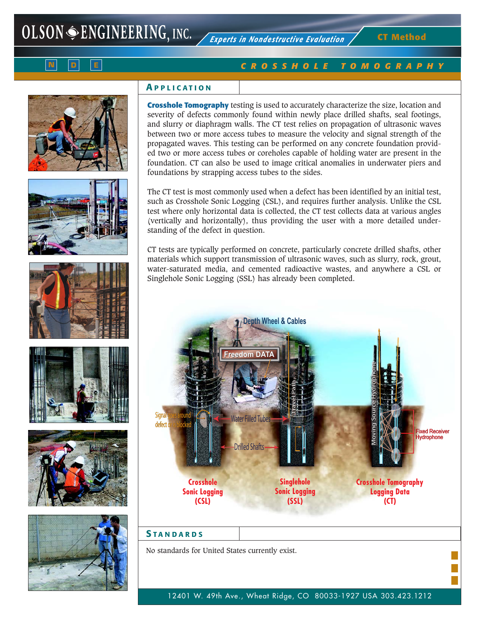**CT Method**



# *CROSSHOLE TOMOGRAPHY*













## **A PPLICATION**

**Crosshole Tomography** testing is used to accurately characterize the size, location and severity of defects commonly found within newly place drilled shafts, seal footings, and slurry or diaphragm walls. The CT test relies on propagation of ultrasonic waves between two or more access tubes to measure the velocity and signal strength of the propagated waves. This testing can be performed on any concrete foundation provided two or more access tubes or coreholes capable of holding water are present in the foundation. CT can also be used to image critical anomalies in underwater piers and foundations by strapping access tubes to the sides.

The CT test is most commonly used when a defect has been identified by an initial test, such as Crosshole Sonic Logging (CSL), and requires further analysis. Unlike the CSL test where only horizontal data is collected, the CT test collects data at various angles (vertically and horizontally), thus providing the user with a more detailed understanding of the defect in question.

CT tests are typically performed on concrete, particularly concrete drilled shafts, other materials which support transmission of ultrasonic waves, such as slurry, rock, grout, water-saturated media, and cemented radioactive wastes, and anywhere a CSL or Singlehole Sonic Logging (SSL) has already been completed.



## **S TANDARDS**

No standards for United States currently exist.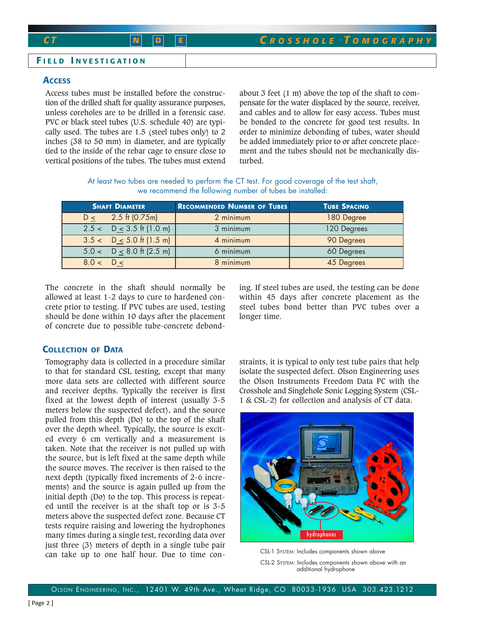### **F IELD I NVESTIGATION**

## **ACCESS**

Access tubes must be installed before the construction of the drilled shaft for quality assurance purposes, unless coreholes are to be drilled in a forensic case. PVC or black steel tubes (U.S. schedule 40) are typically used. The tubes are 1.5 (steel tubes only) to 2 inches (38 to 50 mm) in diameter, and are typically tied to the inside of the rebar cage to ensure close to vertical positions of the tubes. The tubes must extend about 3 feet (1 m) above the top of the shaft to compensate for the water displaced by the source, receiver, and cables and to allow for easy access. Tubes must be bonded to the concrete for good test results. In order to minimize debonding of tubes, water should be added immediately prior to or after concrete placement and the tubes should not be mechanically disturbed.

At least two tubes are needed to perform the CT test. For good coverage of the test shaft, we recommend the following number of tubes be installed:

| <b>SHAFT DIAMETER</b>                    | <b>RECOMMENDED NUMBER OF TUBES</b> | <b>TUBE SPACING</b> |
|------------------------------------------|------------------------------------|---------------------|
| $2.5 \text{ ft} (0.75 \text{ m})$<br>D < | 2 minimum                          | 180 Degree          |
| $2.5 < D < 3.5$ ft (1.0 m)               | 3 minimum                          | 120 Degrees         |
| $3.5 < D \le 5.0$ ft (1.5 m)             | 4 minimum                          | 90 Degrees          |
| $5.0 < D \leq 8.0$ ft (2.5 m)            | 6 minimum                          | 60 Degrees          |
| 8.0 < D <                                | 8 minimum                          | 45 Degrees          |

The concrete in the shaft should normally be allowed at least 1-2 days to cure to hardened concrete prior to testing. If PVC tubes are used, testing should be done within 10 days after the placement of concrete due to possible tube-concrete debonding. If steel tubes are used, the testing can be done within 45 days after concrete placement as the steel tubes bond better than PVC tubes over a longer time.

## **COLLECTION OF DATA**

Tomography data is collected in a procedure similar to that for standard CSL testing, except that many more data sets are collected with different source and receiver depths. Typically the receiver is first fixed at the lowest depth of interest (usually 3-5 meters below the suspected defect), and the source pulled from this depth (Do) to the top of the shaft over the depth wheel. Typically, the source is excited every 6 cm vertically and a measurement is taken. Note that the receiver is not pulled up with the source, but is left fixed at the same depth while the source moves. The receiver is then raised to the next depth (typically fixed increments of 2-6 increments) and the source is again pulled up from the initial depth (Do) to the top. This process is repeated until the receiver is at the shaft top or is 3-5 meters above the suspected defect zone. Because CT tests require raising and lowering the hydrophones many times during a single test, recording data over just three (3) meters of depth in a single tube pair can take up to one half hour. Due to time constraints, it is typical to only test tube pairs that help isolate the suspected defect. Olson Engineering uses the Olson Instruments Freedom Data PC with the Crosshole and Singlehole Sonic Logging System (CSL-1 & CSL-2) for collection and analysis of CT data.



CSL-1 SYSTEM: Includes components shown above CSL-2 SYSTEM: Includes components shown above with an additional hydrophone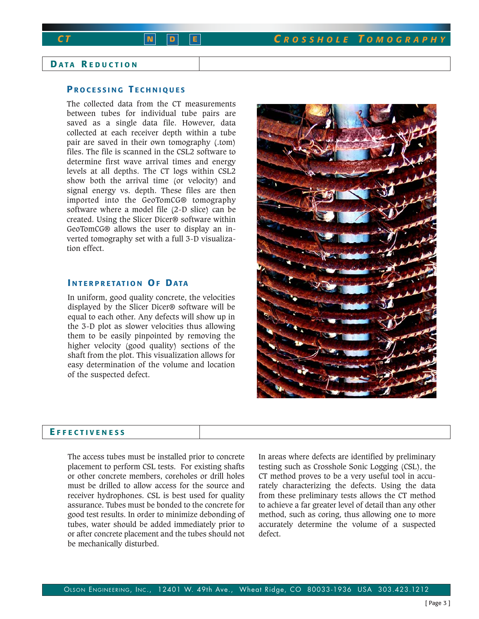# **D ATA R EDUCTION**

## **P ROCESSING T ECHNIQUES**

The collected data from the CT measurements between tubes for individual tube pairs are saved as a single data file. However, data collected at each receiver depth within a tube pair are saved in their own tomography (.tom) files. The file is scanned in the CSL2 software to determine first wave arrival times and energy levels at all depths. The CT logs within CSL2 show both the arrival time (or velocity) and signal energy vs. depth. These files are then imported into the GeoTomCG® tomography software where a model file (2-D slice) can be created. Using the Slicer Dicer® software within GeoTomCG® allows the user to display an inverted tomography set with a full 3-D visualization effect.

## **I NTERPRETATION OF DATA**

In uniform, good quality concrete, the velocities displayed by the Slicer Dicer® software will be equal to each other. Any defects will show up in the 3-D plot as slower velocities thus allowing them to be easily pinpointed by removing the higher velocity (good quality) sections of the shaft from the plot. This visualization allows for easy determination of the volume and location of the suspected defect.

### **E FFECTIVENESS**

The access tubes must be installed prior to concrete placement to perform CSL tests. For existing shafts or other concrete members, coreholes or drill holes must be drilled to allow access for the source and receiver hydrophones. CSL is best used for quality assurance. Tubes must be bonded to the concrete for good test results. In order to minimize debonding of tubes, water should be added immediately prior to or after concrete placement and the tubes should not be mechanically disturbed.

In areas where defects are identified by preliminary testing such as Crosshole Sonic Logging (CSL), the CT method proves to be a very useful tool in accurately characterizing the defects. Using the data from these preliminary tests allows the CT method to achieve a far greater level of detail than any other method, such as coring, thus allowing one to more accurately determine the volume of a suspected defect.